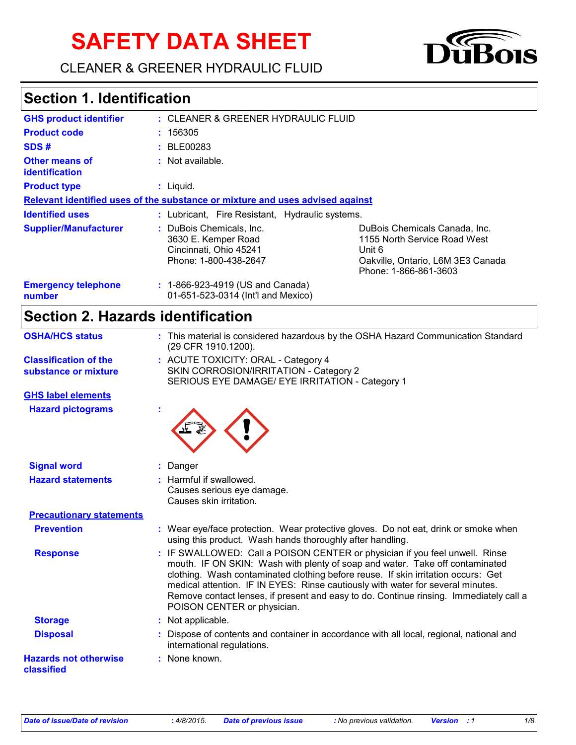# **SAFETY DATA SHEET**





# **Section 1. Identification**

| <b>GHS product identifier</b>                                                 | : CLEANER & GREENER HYDRAULIC FLUID                                                                |                                                                                                                                       |  |  |
|-------------------------------------------------------------------------------|----------------------------------------------------------------------------------------------------|---------------------------------------------------------------------------------------------------------------------------------------|--|--|
| <b>Product code</b>                                                           | : 156305                                                                                           |                                                                                                                                       |  |  |
| SDS#                                                                          | : BLE00283                                                                                         |                                                                                                                                       |  |  |
| Other means of<br><b>identification</b>                                       | : Not available.                                                                                   |                                                                                                                                       |  |  |
| <b>Product type</b>                                                           | $:$ Liquid.                                                                                        |                                                                                                                                       |  |  |
| Relevant identified uses of the substance or mixture and uses advised against |                                                                                                    |                                                                                                                                       |  |  |
| <b>Identified uses</b>                                                        | : Lubricant, Fire Resistant, Hydraulic systems.                                                    |                                                                                                                                       |  |  |
| <b>Supplier/Manufacturer</b>                                                  | : DuBois Chemicals, Inc.<br>3630 E. Kemper Road<br>Cincinnati, Ohio 45241<br>Phone: 1-800-438-2647 | DuBois Chemicals Canada, Inc.<br>1155 North Service Road West<br>Unit 6<br>Oakville, Ontario, L6M 3E3 Canada<br>Phone: 1-866-861-3603 |  |  |
| <b>Emergency telephone</b><br>number                                          | : 1-866-923-4919 (US and Canada)<br>01-651-523-0314 (Int'l and Mexico)                             |                                                                                                                                       |  |  |

# **Section 2. Hazards identification**

| <b>OSHA/HCS status</b>                               | : This material is considered hazardous by the OSHA Hazard Communication Standard<br>(29 CFR 1910.1200).                                                                                                                                                                                                                                                                                                                                                     |
|------------------------------------------------------|--------------------------------------------------------------------------------------------------------------------------------------------------------------------------------------------------------------------------------------------------------------------------------------------------------------------------------------------------------------------------------------------------------------------------------------------------------------|
| <b>Classification of the</b><br>substance or mixture | : ACUTE TOXICITY: ORAL - Category 4<br>SKIN CORROSION/IRRITATION - Category 2<br>SERIOUS EYE DAMAGE/ EYE IRRITATION - Category 1                                                                                                                                                                                                                                                                                                                             |
| <b>GHS label elements</b>                            |                                                                                                                                                                                                                                                                                                                                                                                                                                                              |
| <b>Hazard pictograms</b>                             |                                                                                                                                                                                                                                                                                                                                                                                                                                                              |
| <b>Signal word</b>                                   | : Danger                                                                                                                                                                                                                                                                                                                                                                                                                                                     |
| <b>Hazard statements</b>                             | : Harmful if swallowed.<br>Causes serious eye damage.<br>Causes skin irritation.                                                                                                                                                                                                                                                                                                                                                                             |
| <b>Precautionary statements</b>                      |                                                                                                                                                                                                                                                                                                                                                                                                                                                              |
| <b>Prevention</b>                                    | : Wear eye/face protection. Wear protective gloves. Do not eat, drink or smoke when<br>using this product. Wash hands thoroughly after handling.                                                                                                                                                                                                                                                                                                             |
| <b>Response</b>                                      | : IF SWALLOWED: Call a POISON CENTER or physician if you feel unwell. Rinse<br>mouth. IF ON SKIN: Wash with plenty of soap and water. Take off contaminated<br>clothing. Wash contaminated clothing before reuse. If skin irritation occurs: Get<br>medical attention. IF IN EYES: Rinse cautiously with water for several minutes.<br>Remove contact lenses, if present and easy to do. Continue rinsing. Immediately call a<br>POISON CENTER or physician. |
| <b>Storage</b>                                       | : Not applicable.                                                                                                                                                                                                                                                                                                                                                                                                                                            |
| <b>Disposal</b>                                      | Dispose of contents and container in accordance with all local, regional, national and<br>international regulations.                                                                                                                                                                                                                                                                                                                                         |
| <b>Hazards not otherwise</b><br>classified           | : None known.                                                                                                                                                                                                                                                                                                                                                                                                                                                |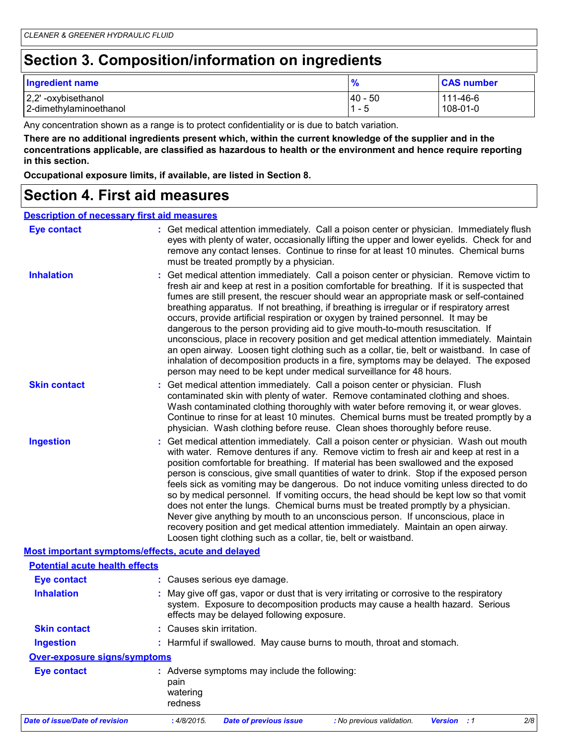# **Section 3. Composition/information on ingredients**

| <b>Ingredient name</b>                       | $\frac{9}{6}$          | <b>CAS number</b>    |
|----------------------------------------------|------------------------|----------------------|
| 2,2'-oxybisethanol<br>2-dimethylaminoethanol | $ 40 - 50$<br>1<br>- 5 | 111-46-6<br>108-01-0 |

Any concentration shown as a range is to protect confidentiality or is due to batch variation.

**There are no additional ingredients present which, within the current knowledge of the supplier and in the concentrations applicable, are classified as hazardous to health or the environment and hence require reporting in this section.**

**Occupational exposure limits, if available, are listed in Section 8.**

### **Section 4. First aid measures**

#### **Description of necessary first aid measures**

| <b>Eye contact</b>                                 | : Get medical attention immediately. Call a poison center or physician. Immediately flush<br>eyes with plenty of water, occasionally lifting the upper and lower eyelids. Check for and<br>remove any contact lenses. Continue to rinse for at least 10 minutes. Chemical burns<br>must be treated promptly by a physician.                                                                                                                                                                                                                                                                                                                                                                                                                                                                                                                                                                                  |  |
|----------------------------------------------------|--------------------------------------------------------------------------------------------------------------------------------------------------------------------------------------------------------------------------------------------------------------------------------------------------------------------------------------------------------------------------------------------------------------------------------------------------------------------------------------------------------------------------------------------------------------------------------------------------------------------------------------------------------------------------------------------------------------------------------------------------------------------------------------------------------------------------------------------------------------------------------------------------------------|--|
| <b>Inhalation</b>                                  | : Get medical attention immediately. Call a poison center or physician. Remove victim to<br>fresh air and keep at rest in a position comfortable for breathing. If it is suspected that<br>fumes are still present, the rescuer should wear an appropriate mask or self-contained<br>breathing apparatus. If not breathing, if breathing is irregular or if respiratory arrest<br>occurs, provide artificial respiration or oxygen by trained personnel. It may be<br>dangerous to the person providing aid to give mouth-to-mouth resuscitation. If<br>unconscious, place in recovery position and get medical attention immediately. Maintain<br>an open airway. Loosen tight clothing such as a collar, tie, belt or waistband. In case of<br>inhalation of decomposition products in a fire, symptoms may be delayed. The exposed<br>person may need to be kept under medical surveillance for 48 hours. |  |
| <b>Skin contact</b>                                | : Get medical attention immediately. Call a poison center or physician. Flush<br>contaminated skin with plenty of water. Remove contaminated clothing and shoes.<br>Wash contaminated clothing thoroughly with water before removing it, or wear gloves.<br>Continue to rinse for at least 10 minutes. Chemical burns must be treated promptly by a<br>physician. Wash clothing before reuse. Clean shoes thoroughly before reuse.                                                                                                                                                                                                                                                                                                                                                                                                                                                                           |  |
| <b>Ingestion</b>                                   | : Get medical attention immediately. Call a poison center or physician. Wash out mouth<br>with water. Remove dentures if any. Remove victim to fresh air and keep at rest in a<br>position comfortable for breathing. If material has been swallowed and the exposed<br>person is conscious, give small quantities of water to drink. Stop if the exposed person<br>feels sick as vomiting may be dangerous. Do not induce vomiting unless directed to do<br>so by medical personnel. If vomiting occurs, the head should be kept low so that vomit<br>does not enter the lungs. Chemical burns must be treated promptly by a physician.<br>Never give anything by mouth to an unconscious person. If unconscious, place in<br>recovery position and get medical attention immediately. Maintain an open airway.<br>Loosen tight clothing such as a collar, tie, belt or waistband.                          |  |
| Most important symptoms/effects, acute and delayed |                                                                                                                                                                                                                                                                                                                                                                                                                                                                                                                                                                                                                                                                                                                                                                                                                                                                                                              |  |
| <b>Potential acute health effects</b>              |                                                                                                                                                                                                                                                                                                                                                                                                                                                                                                                                                                                                                                                                                                                                                                                                                                                                                                              |  |
| <b>Eye contact</b>                                 | : Causes serious eye damage.                                                                                                                                                                                                                                                                                                                                                                                                                                                                                                                                                                                                                                                                                                                                                                                                                                                                                 |  |
| <b>Inhalation</b>                                  | May give off gas, vapor or dust that is very irritating or corrosive to the respiratory<br>system. Exposure to decomposition products may cause a health hazard. Serious<br>effects may be delayed following exposure.                                                                                                                                                                                                                                                                                                                                                                                                                                                                                                                                                                                                                                                                                       |  |
| <b>Skin contact</b>                                | : Causes skin irritation.                                                                                                                                                                                                                                                                                                                                                                                                                                                                                                                                                                                                                                                                                                                                                                                                                                                                                    |  |
| <b>Ingestion</b>                                   | : Harmful if swallowed. May cause burns to mouth, throat and stomach.                                                                                                                                                                                                                                                                                                                                                                                                                                                                                                                                                                                                                                                                                                                                                                                                                                        |  |
| <b>Over-exposure signs/symptoms</b>                |                                                                                                                                                                                                                                                                                                                                                                                                                                                                                                                                                                                                                                                                                                                                                                                                                                                                                                              |  |
| <b>Eye contact</b>                                 | : Adverse symptoms may include the following:<br>pain<br>watering<br>redness                                                                                                                                                                                                                                                                                                                                                                                                                                                                                                                                                                                                                                                                                                                                                                                                                                 |  |
| <b>Date of issue/Date of revision</b>              | : 4/8/2015.<br><b>Date of previous issue</b><br><b>Version</b> : 1<br>2/8<br>: No previous validation.                                                                                                                                                                                                                                                                                                                                                                                                                                                                                                                                                                                                                                                                                                                                                                                                       |  |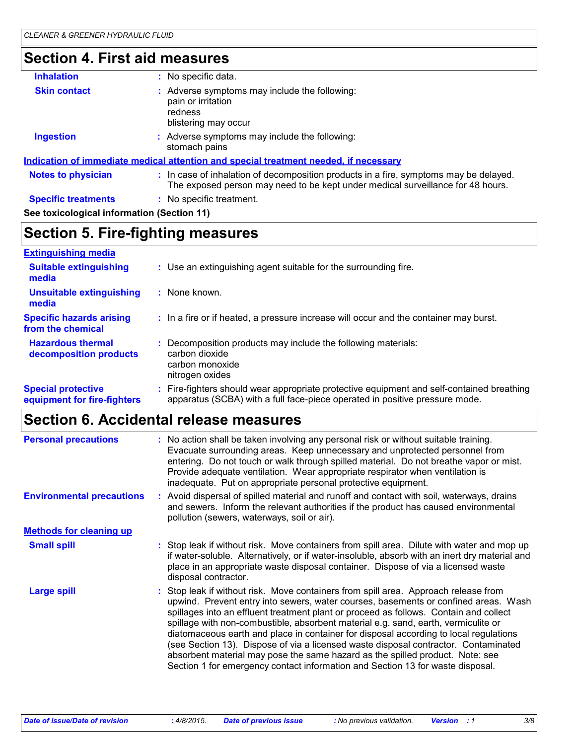# **Section 4. First aid measures**

| <b>Inhalation</b>                          | : No specific data.                                                                                                                                                      |  |
|--------------------------------------------|--------------------------------------------------------------------------------------------------------------------------------------------------------------------------|--|
| <b>Skin contact</b>                        | : Adverse symptoms may include the following:<br>pain or irritation<br>redness<br>blistering may occur                                                                   |  |
| Ingestion                                  | : Adverse symptoms may include the following:<br>stomach pains                                                                                                           |  |
|                                            | <u>Indication of immediate medical attention and special treatment needed, if necessary</u>                                                                              |  |
| <b>Notes to physician</b>                  | : In case of inhalation of decomposition products in a fire, symptoms may be delayed.<br>The exposed person may need to be kept under medical surveillance for 48 hours. |  |
| <b>Specific treatments</b>                 | : No specific treatment.                                                                                                                                                 |  |
| See toxicological information (Section 11) |                                                                                                                                                                          |  |

# **Section 5. Fire-fighting measures**

| <b>Extinguishing media</b>                               |                                                                                                                                                                        |
|----------------------------------------------------------|------------------------------------------------------------------------------------------------------------------------------------------------------------------------|
| <b>Suitable extinguishing</b><br>media                   | : Use an extinguishing agent suitable for the surrounding fire.                                                                                                        |
| <b>Unsuitable extinguishing</b><br>media                 | $:$ None known.                                                                                                                                                        |
| <b>Specific hazards arising</b><br>from the chemical     | : In a fire or if heated, a pressure increase will occur and the container may burst.                                                                                  |
| <b>Hazardous thermal</b><br>decomposition products       | Decomposition products may include the following materials:<br>carbon dioxide<br>carbon monoxide<br>nitrogen oxides                                                    |
| <b>Special protective</b><br>equipment for fire-fighters | Fire-fighters should wear appropriate protective equipment and self-contained breathing<br>apparatus (SCBA) with a full face-piece operated in positive pressure mode. |

### **Section 6. Accidental release measures**

| <b>Personal precautions</b>      | : No action shall be taken involving any personal risk or without suitable training.<br>Evacuate surrounding areas. Keep unnecessary and unprotected personnel from<br>entering. Do not touch or walk through spilled material. Do not breathe vapor or mist.<br>Provide adequate ventilation. Wear appropriate respirator when ventilation is<br>inadequate. Put on appropriate personal protective equipment.                                                                                                                                                                                                                                                                                              |
|----------------------------------|--------------------------------------------------------------------------------------------------------------------------------------------------------------------------------------------------------------------------------------------------------------------------------------------------------------------------------------------------------------------------------------------------------------------------------------------------------------------------------------------------------------------------------------------------------------------------------------------------------------------------------------------------------------------------------------------------------------|
| <b>Environmental precautions</b> | : Avoid dispersal of spilled material and runoff and contact with soil, waterways, drains<br>and sewers. Inform the relevant authorities if the product has caused environmental<br>pollution (sewers, waterways, soil or air).                                                                                                                                                                                                                                                                                                                                                                                                                                                                              |
| <b>Methods for cleaning up</b>   |                                                                                                                                                                                                                                                                                                                                                                                                                                                                                                                                                                                                                                                                                                              |
| <b>Small spill</b>               | Stop leak if without risk. Move containers from spill area. Dilute with water and mop up<br>if water-soluble. Alternatively, or if water-insoluble, absorb with an inert dry material and<br>place in an appropriate waste disposal container. Dispose of via a licensed waste<br>disposal contractor.                                                                                                                                                                                                                                                                                                                                                                                                       |
| <b>Large spill</b>               | : Stop leak if without risk. Move containers from spill area. Approach release from<br>upwind. Prevent entry into sewers, water courses, basements or confined areas. Wash<br>spillages into an effluent treatment plant or proceed as follows. Contain and collect<br>spillage with non-combustible, absorbent material e.g. sand, earth, vermiculite or<br>diatomaceous earth and place in container for disposal according to local regulations<br>(see Section 13). Dispose of via a licensed waste disposal contractor. Contaminated<br>absorbent material may pose the same hazard as the spilled product. Note: see<br>Section 1 for emergency contact information and Section 13 for waste disposal. |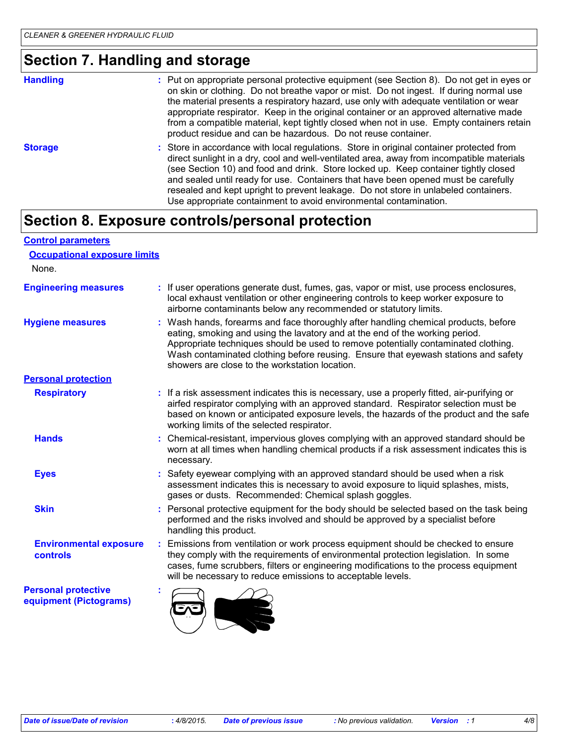## **Section 7. Handling and storage**

| <b>Handling</b> | : Put on appropriate personal protective equipment (see Section 8). Do not get in eyes or<br>on skin or clothing. Do not breathe vapor or mist. Do not ingest. If during normal use<br>the material presents a respiratory hazard, use only with adequate ventilation or wear<br>appropriate respirator. Keep in the original container or an approved alternative made<br>from a compatible material, kept tightly closed when not in use. Empty containers retain<br>product residue and can be hazardous. Do not reuse container. |
|-----------------|--------------------------------------------------------------------------------------------------------------------------------------------------------------------------------------------------------------------------------------------------------------------------------------------------------------------------------------------------------------------------------------------------------------------------------------------------------------------------------------------------------------------------------------|
| <b>Storage</b>  | : Store in accordance with local regulations. Store in original container protected from<br>direct sunlight in a dry, cool and well-ventilated area, away from incompatible materials<br>(see Section 10) and food and drink. Store locked up. Keep container tightly closed<br>and sealed until ready for use. Containers that have been opened must be carefully<br>resealed and kept upright to prevent leakage. Do not store in unlabeled containers.<br>Use appropriate containment to avoid environmental contamination.       |

### **Section 8. Exposure controls/personal protection**

| <b>Control parameters</b> |                                     |
|---------------------------|-------------------------------------|
|                           | <b>Occupational exposure limits</b> |

None.

| <b>Engineering measures</b>                          | If user operations generate dust, fumes, gas, vapor or mist, use process enclosures,<br>local exhaust ventilation or other engineering controls to keep worker exposure to<br>airborne contaminants below any recommended or statutory limits.                                                                                                                                                  |  |  |
|------------------------------------------------------|-------------------------------------------------------------------------------------------------------------------------------------------------------------------------------------------------------------------------------------------------------------------------------------------------------------------------------------------------------------------------------------------------|--|--|
| <b>Hygiene measures</b>                              | Wash hands, forearms and face thoroughly after handling chemical products, before<br>eating, smoking and using the lavatory and at the end of the working period.<br>Appropriate techniques should be used to remove potentially contaminated clothing.<br>Wash contaminated clothing before reusing. Ensure that eyewash stations and safety<br>showers are close to the workstation location. |  |  |
| <b>Personal protection</b>                           |                                                                                                                                                                                                                                                                                                                                                                                                 |  |  |
| <b>Respiratory</b>                                   | : If a risk assessment indicates this is necessary, use a properly fitted, air-purifying or<br>airfed respirator complying with an approved standard. Respirator selection must be<br>based on known or anticipated exposure levels, the hazards of the product and the safe<br>working limits of the selected respirator.                                                                      |  |  |
| <b>Hands</b>                                         | Chemical-resistant, impervious gloves complying with an approved standard should be<br>worn at all times when handling chemical products if a risk assessment indicates this is<br>necessary.                                                                                                                                                                                                   |  |  |
| <b>Eyes</b>                                          | Safety eyewear complying with an approved standard should be used when a risk<br>assessment indicates this is necessary to avoid exposure to liquid splashes, mists,<br>gases or dusts. Recommended: Chemical splash goggles.                                                                                                                                                                   |  |  |
| <b>Skin</b>                                          | Personal protective equipment for the body should be selected based on the task being<br>performed and the risks involved and should be approved by a specialist before<br>handling this product.                                                                                                                                                                                               |  |  |
| <b>Environmental exposure</b><br><b>controls</b>     | Emissions from ventilation or work process equipment should be checked to ensure<br>they comply with the requirements of environmental protection legislation. In some<br>cases, fume scrubbers, filters or engineering modifications to the process equipment<br>will be necessary to reduce emissions to acceptable levels.                                                                   |  |  |
| <b>Personal protective</b><br>equipment (Pictograms) |                                                                                                                                                                                                                                                                                                                                                                                                 |  |  |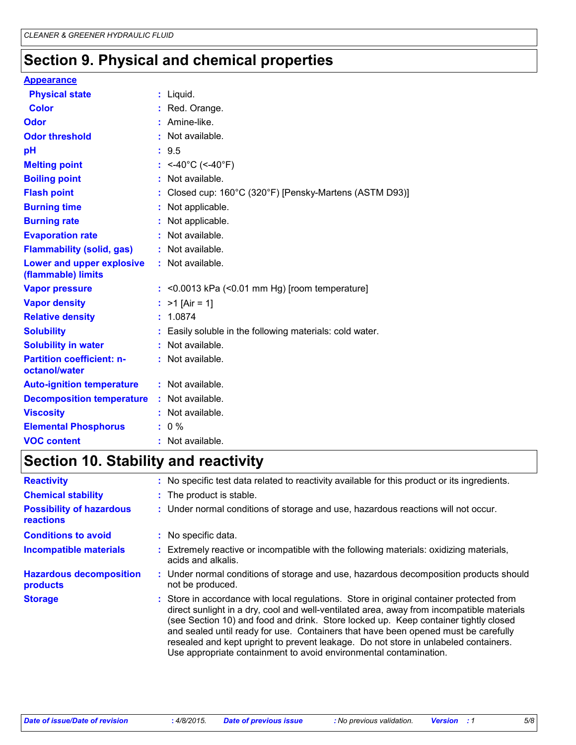# **Section 9. Physical and chemical properties**

#### **Appearance**

| <b>Physical state</b>                             |    | $:$ Liquid.                                              |
|---------------------------------------------------|----|----------------------------------------------------------|
| <b>Color</b>                                      |    | : Red. Orange.                                           |
| <b>Odor</b>                                       |    | : Amine-like.                                            |
| <b>Odor threshold</b>                             |    | : Not available.                                         |
| рH                                                |    | : 9.5                                                    |
| <b>Melting point</b>                              |    | : <-40°C (<-40°F)                                        |
| <b>Boiling point</b>                              |    | $:$ Not available.                                       |
| <b>Flash point</b>                                |    | Closed cup: 160°C (320°F) [Pensky-Martens (ASTM D93)]    |
| <b>Burning time</b>                               |    | : Not applicable.                                        |
| <b>Burning rate</b>                               |    | Not applicable.                                          |
| <b>Evaporation rate</b>                           |    | Not available.                                           |
| <b>Flammability (solid, gas)</b>                  | ÷. | Not available.                                           |
| Lower and upper explosive<br>(flammable) limits   |    | : Not available.                                         |
| <b>Vapor pressure</b>                             |    | $:$ <0.0013 kPa (<0.01 mm Hg) [room temperature]         |
| <b>Vapor density</b>                              |    | : $>1$ [Air = 1]                                         |
| <b>Relative density</b>                           |    | 1.0874                                                   |
| <b>Solubility</b>                                 |    | : Easily soluble in the following materials: cold water. |
| <b>Solubility in water</b>                        |    | : Not available.                                         |
| <b>Partition coefficient: n-</b><br>octanol/water |    | : Not available.                                         |
| <b>Auto-ignition temperature</b>                  |    | : Not available.                                         |
| <b>Decomposition temperature :</b>                |    | Not available.                                           |
| <b>Viscosity</b>                                  |    | : Not available.                                         |
| <b>Elemental Phosphorus</b>                       |    | $: 0 \%$                                                 |
| <b>VOC content</b>                                |    | $:$ Not available.                                       |

# **Section 10. Stability and reactivity**

| <b>Reactivity</b>                                   | : No specific test data related to reactivity available for this product or its ingredients.                                                                                                                                                                                                                                                                                                                                                                                                                                   |
|-----------------------------------------------------|--------------------------------------------------------------------------------------------------------------------------------------------------------------------------------------------------------------------------------------------------------------------------------------------------------------------------------------------------------------------------------------------------------------------------------------------------------------------------------------------------------------------------------|
| <b>Chemical stability</b>                           | : The product is stable.                                                                                                                                                                                                                                                                                                                                                                                                                                                                                                       |
| <b>Possibility of hazardous</b><br><b>reactions</b> | : Under normal conditions of storage and use, hazardous reactions will not occur.                                                                                                                                                                                                                                                                                                                                                                                                                                              |
| <b>Conditions to avoid</b>                          | : No specific data.                                                                                                                                                                                                                                                                                                                                                                                                                                                                                                            |
| <b>Incompatible materials</b>                       | Extremely reactive or incompatible with the following materials: oxidizing materials,<br>acids and alkalis.                                                                                                                                                                                                                                                                                                                                                                                                                    |
| <b>Hazardous decomposition</b><br>products          | : Under normal conditions of storage and use, hazardous decomposition products should<br>not be produced.                                                                                                                                                                                                                                                                                                                                                                                                                      |
| <b>Storage</b>                                      | : Store in accordance with local regulations. Store in original container protected from<br>direct sunlight in a dry, cool and well-ventilated area, away from incompatible materials<br>(see Section 10) and food and drink. Store locked up. Keep container tightly closed<br>and sealed until ready for use. Containers that have been opened must be carefully<br>resealed and kept upright to prevent leakage. Do not store in unlabeled containers.<br>Use appropriate containment to avoid environmental contamination. |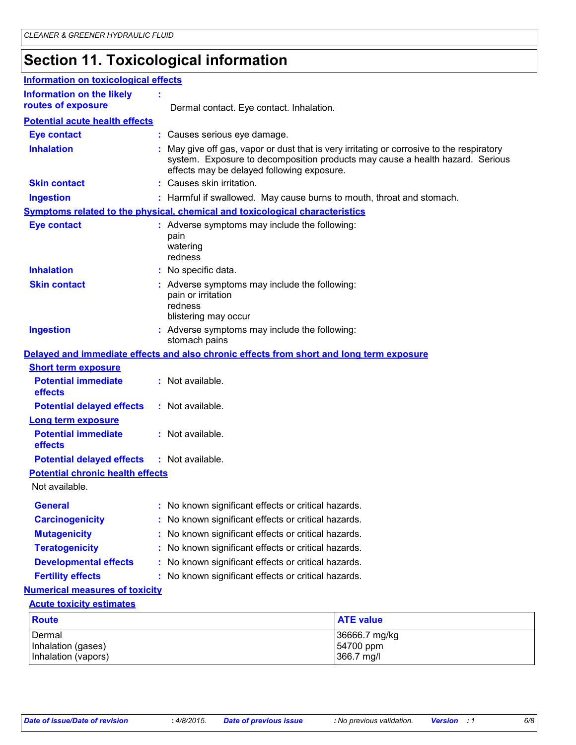# **Section 11. Toxicological information**

| <b>Information on toxicological effects</b> |                                                                                                        |                                                                                                                                                                            |
|---------------------------------------------|--------------------------------------------------------------------------------------------------------|----------------------------------------------------------------------------------------------------------------------------------------------------------------------------|
| <b>Information on the likely</b>            |                                                                                                        |                                                                                                                                                                            |
| routes of exposure                          | Dermal contact. Eye contact. Inhalation.                                                               |                                                                                                                                                                            |
| <b>Potential acute health effects</b>       |                                                                                                        |                                                                                                                                                                            |
| <b>Eye contact</b>                          | : Causes serious eye damage.                                                                           |                                                                                                                                                                            |
| <b>Inhalation</b>                           | effects may be delayed following exposure.                                                             | : May give off gas, vapor or dust that is very irritating or corrosive to the respiratory<br>system. Exposure to decomposition products may cause a health hazard. Serious |
| <b>Skin contact</b>                         | : Causes skin irritation.                                                                              |                                                                                                                                                                            |
| <b>Ingestion</b>                            | : Harmful if swallowed. May cause burns to mouth, throat and stomach.                                  |                                                                                                                                                                            |
|                                             | <b>Symptoms related to the physical, chemical and toxicological characteristics</b>                    |                                                                                                                                                                            |
| <b>Eye contact</b>                          | : Adverse symptoms may include the following:<br>pain<br>watering<br>redness                           |                                                                                                                                                                            |
| <b>Inhalation</b>                           | : No specific data.                                                                                    |                                                                                                                                                                            |
| <b>Skin contact</b>                         | : Adverse symptoms may include the following:<br>pain or irritation<br>redness<br>blistering may occur |                                                                                                                                                                            |
| <b>Ingestion</b>                            | : Adverse symptoms may include the following:<br>stomach pains                                         |                                                                                                                                                                            |
|                                             | Delayed and immediate effects and also chronic effects from short and long term exposure               |                                                                                                                                                                            |
| <b>Short term exposure</b>                  |                                                                                                        |                                                                                                                                                                            |
| <b>Potential immediate</b><br>effects       | : Not available.                                                                                       |                                                                                                                                                                            |
| <b>Potential delayed effects</b>            | : Not available.                                                                                       |                                                                                                                                                                            |
| <b>Long term exposure</b>                   |                                                                                                        |                                                                                                                                                                            |
| <b>Potential immediate</b><br>effects       | : Not available.                                                                                       |                                                                                                                                                                            |
| <b>Potential delayed effects</b>            | : Not available.                                                                                       |                                                                                                                                                                            |
| <b>Potential chronic health effects</b>     |                                                                                                        |                                                                                                                                                                            |
| Not available.                              |                                                                                                        |                                                                                                                                                                            |
| <b>General</b>                              | : No known significant effects or critical hazards.                                                    |                                                                                                                                                                            |
| <b>Carcinogenicity</b>                      | : No known significant effects or critical hazards.                                                    |                                                                                                                                                                            |
| <b>Mutagenicity</b>                         | : No known significant effects or critical hazards.                                                    |                                                                                                                                                                            |
| <b>Teratogenicity</b>                       | : No known significant effects or critical hazards.                                                    |                                                                                                                                                                            |
| <b>Developmental effects</b>                | : No known significant effects or critical hazards.                                                    |                                                                                                                                                                            |
| <b>Fertility effects</b>                    | : No known significant effects or critical hazards.                                                    |                                                                                                                                                                            |
| <b>Numerical measures of toxicity</b>       |                                                                                                        |                                                                                                                                                                            |
| <b>Acute toxicity estimates</b>             |                                                                                                        |                                                                                                                                                                            |
| <b>Route</b>                                |                                                                                                        | <b>ATE value</b>                                                                                                                                                           |
| Dermal<br>Inhalation (gases)                |                                                                                                        | 36666.7 mg/kg<br>54700 ppm                                                                                                                                                 |
| Inhalation (vapors)                         |                                                                                                        | 366.7 mg/l                                                                                                                                                                 |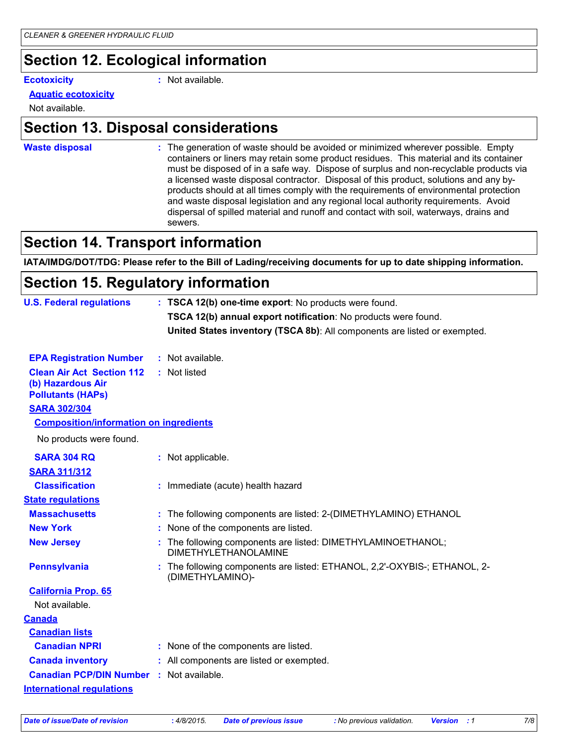# **Section 12. Ecological information**

**Ecotoxicity :**

: Not available.

#### **Aquatic ecotoxicity**

Not available.

### **Section 13. Disposal considerations**

**Waste disposal :**

The generation of waste should be avoided or minimized wherever possible. Empty containers or liners may retain some product residues. This material and its container must be disposed of in a safe way. Dispose of surplus and non-recyclable products via a licensed waste disposal contractor. Disposal of this product, solutions and any byproducts should at all times comply with the requirements of environmental protection and waste disposal legislation and any regional local authority requirements. Avoid dispersal of spilled material and runoff and contact with soil, waterways, drains and sewers.

### **Section 14. Transport information**

**IATA/IMDG/DOT/TDG: Please refer to the Bill of Lading/receiving documents for up to date shipping information.**

### **Section 15. Regulatory information**

| <b>U.S. Federal regulations</b>                                                   |  | : TSCA 12(b) one-time export: No products were found.                                       |  |
|-----------------------------------------------------------------------------------|--|---------------------------------------------------------------------------------------------|--|
|                                                                                   |  | TSCA 12(b) annual export notification: No products were found.                              |  |
|                                                                                   |  | United States inventory (TSCA 8b): All components are listed or exempted.                   |  |
| <b>EPA Registration Number</b>                                                    |  | : Not available.                                                                            |  |
| <b>Clean Air Act Section 112</b><br>(b) Hazardous Air<br><b>Pollutants (HAPs)</b> |  | : Not listed                                                                                |  |
| <b>SARA 302/304</b>                                                               |  |                                                                                             |  |
| <b>Composition/information on ingredients</b>                                     |  |                                                                                             |  |
| No products were found.                                                           |  |                                                                                             |  |
| <b>SARA 304 RQ</b>                                                                |  | : Not applicable.                                                                           |  |
| <b>SARA 311/312</b>                                                               |  |                                                                                             |  |
| <b>Classification</b>                                                             |  | : Immediate (acute) health hazard                                                           |  |
| <b>State regulations</b>                                                          |  |                                                                                             |  |
| <b>Massachusetts</b>                                                              |  | : The following components are listed: 2-(DIMETHYLAMINO) ETHANOL                            |  |
| <b>New York</b>                                                                   |  | : None of the components are listed.                                                        |  |
| <b>New Jersey</b>                                                                 |  | The following components are listed: DIMETHYLAMINOETHANOL;<br><b>DIMETHYLETHANOLAMINE</b>   |  |
| <b>Pennsylvania</b>                                                               |  | The following components are listed: ETHANOL, 2,2'-OXYBIS-; ETHANOL, 2-<br>(DIMETHYLAMINO)- |  |
| <b>California Prop. 65</b>                                                        |  |                                                                                             |  |
| Not available.                                                                    |  |                                                                                             |  |
| <u>Canada</u>                                                                     |  |                                                                                             |  |
| <b>Canadian lists</b>                                                             |  |                                                                                             |  |
| <b>Canadian NPRI</b>                                                              |  | : None of the components are listed.                                                        |  |
| <b>Canada inventory</b>                                                           |  | : All components are listed or exempted.                                                    |  |
| <b>Canadian PCP/DIN Number : Not available.</b>                                   |  |                                                                                             |  |
| <b>International regulations</b>                                                  |  |                                                                                             |  |
|                                                                                   |  |                                                                                             |  |